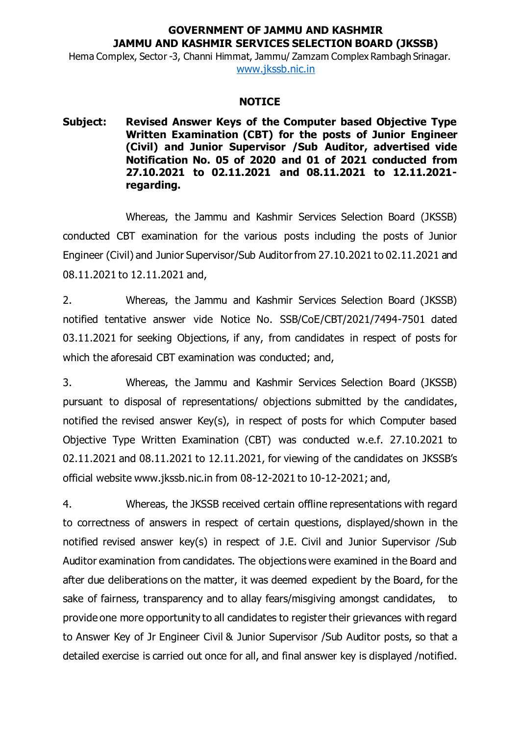## **GOVERNMENT OF JAMMU AND KASHMIR JAMMU AND KASHMIR SERVICES SELECTION BOARD (JKSSB)**

Hema Complex, Sector -3, Channi Himmat, Jammu/ Zamzam Complex Rambagh Srinagar. www.jkssb.nic.in

## **NOTICE**

## **Subject: Revised Answer Keys of the Computer based Objective Type Written Examination (CBT) for the posts of Junior Engineer (Civil) and Junior Supervisor /Sub Auditor, advertised vide Notification No. 05 of 2020 and 01 of 2021 conducted from 27.10.2021 to 02.11.2021 and 08.11.2021 to 12.11.2021 regarding.**

Whereas, the Jammu and Kashmir Services Selection Board (JKSSB) conducted CBT examination for the various posts including the posts of Junior Engineer (Civil) and Junior Supervisor/Sub Auditorfrom 27.10.2021 to 02.11.2021 and 08.11.2021 to 12.11.2021 and,

2. Whereas, the Jammu and Kashmir Services Selection Board (JKSSB) notified tentative answer vide Notice No. SSB/CoE/CBT/2021/7494-7501 dated 03.11.2021 for seeking Objections, if any, from candidates in respect of posts for which the aforesaid CBT examination was conducted; and,

3. Whereas, the Jammu and Kashmir Services Selection Board (JKSSB) pursuant to disposal of representations/ objections submitted by the candidates, notified the revised answer Key(s), in respect of posts for which Computer based Objective Type Written Examination (CBT) was conducted w.e.f. 27.10.2021 to 02.11.2021 and 08.11.2021 to 12.11.2021, for viewing of the candidates on JKSSB's official website www.jkssb.nic.in from 08-12-2021 to 10-12-2021; and,

4. Whereas, the JKSSB received certain offline representations with regard to correctness of answers in respect of certain questions, displayed/shown in the notified revised answer key(s) in respect of J.E. Civil and Junior Supervisor /Sub Auditor examination from candidates. The objections were examined in the Board and after due deliberations on the matter, it was deemed expedient by the Board, for the sake of fairness, transparency and to allay fears/misgiving amongst candidates, to provide one more opportunity to all candidates to register their grievances with regard to Answer Key of Jr Engineer Civil & Junior Supervisor /Sub Auditor posts, so that a detailed exercise is carried out once for all, and final answer key is displayed /notified.